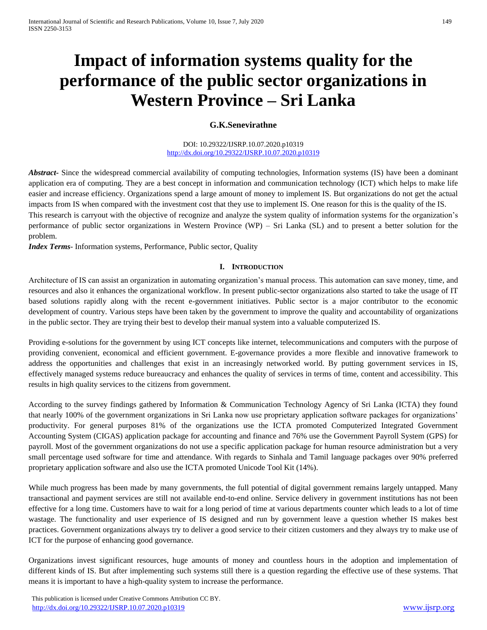# **Impact of information systems quality for the performance of the public sector organizations in Western Province – Sri Lanka**

## **G.K.Senevirathne**

DOI: 10.29322/IJSRP.10.07.2020.p10319 <http://dx.doi.org/10.29322/IJSRP.10.07.2020.p10319>

*Abstract* Since the widespread commercial availability of computing technologies, Information systems (IS) have been a dominant application era of computing. They are a best concept in information and communication technology (ICT) which helps to make life easier and increase efficiency. Organizations spend a large amount of money to implement IS. But organizations do not get the actual impacts from IS when compared with the investment cost that they use to implement IS. One reason for this is the quality of the IS. This research is carryout with the objective of recognize and analyze the system quality of information systems for the organization's performance of public sector organizations in Western Province (WP) – Sri Lanka (SL) and to present a better solution for the problem.

*Index Terms*- Information systems, Performance, Public sector, Quality

## **I. INTRODUCTION**

Architecture of IS can assist an organization in automating organization's manual process. This automation can save money, time, and resources and also it enhances the organizational workflow. In present public-sector organizations also started to take the usage of IT based solutions rapidly along with the recent e-government initiatives. Public sector is a major contributor to the economic development of country. Various steps have been taken by the government to improve the quality and accountability of organizations in the public sector. They are trying their best to develop their manual system into a valuable computerized IS.

Providing e-solutions for the government by using ICT concepts like internet, telecommunications and computers with the purpose of providing convenient, economical and efficient government. E-governance provides a more flexible and innovative framework to address the opportunities and challenges that exist in an increasingly networked world. By putting government services in IS, effectively managed systems reduce bureaucracy and enhances the quality of services in terms of time, content and accessibility. This results in high quality services to the citizens from government.

According to the survey findings gathered by Information & Communication Technology Agency of Sri Lanka (ICTA) they found that nearly 100% of the government organizations in Sri Lanka now use proprietary application software packages for organizations' productivity. For general purposes 81% of the organizations use the ICTA promoted Computerized Integrated Government Accounting System (CIGAS) application package for accounting and finance and 76% use the Government Payroll System (GPS) for payroll. Most of the government organizations do not use a specific application package for human resource administration but a very small percentage used software for time and attendance. With regards to Sinhala and Tamil language packages over 90% preferred proprietary application software and also use the ICTA promoted Unicode Tool Kit (14%).

While much progress has been made by many governments, the full potential of digital government remains largely untapped. Many transactional and payment services are still not available end-to-end online. Service delivery in government institutions has not been effective for a long time. Customers have to wait for a long period of time at various departments counter which leads to a lot of time wastage. The functionality and user experience of IS designed and run by government leave a question whether IS makes best practices. Government organizations always try to deliver a good service to their citizen customers and they always try to make use of ICT for the purpose of enhancing good governance.

Organizations invest significant resources, huge amounts of money and countless hours in the adoption and implementation of different kinds of IS. But after implementing such systems still there is a question regarding the effective use of these systems. That means it is important to have a high-quality system to increase the performance.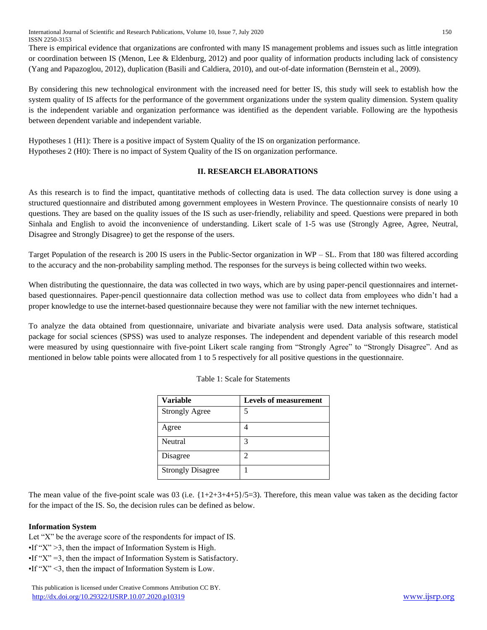International Journal of Scientific and Research Publications, Volume 10, Issue 7, July 2020 150 ISSN 2250-3153

There is empirical evidence that organizations are confronted with many IS management problems and issues such as little integration or coordination between IS (Menon, Lee & Eldenburg, 2012) and poor quality of information products including lack of consistency (Yang and Papazoglou, 2012), duplication (Basili and Caldiera, 2010), and out-of-date information (Bernstein et al., 2009).

By considering this new technological environment with the increased need for better IS, this study will seek to establish how the system quality of IS affects for the performance of the government organizations under the system quality dimension. System quality is the independent variable and organization performance was identified as the dependent variable. Following are the hypothesis between dependent variable and independent variable.

Hypotheses 1 (H1): There is a positive impact of System Quality of the IS on organization performance. Hypotheses 2 (H0): There is no impact of System Quality of the IS on organization performance.

## **II. RESEARCH ELABORATIONS**

As this research is to find the impact, quantitative methods of collecting data is used. The data collection survey is done using a structured questionnaire and distributed among government employees in Western Province. The questionnaire consists of nearly 10 questions. They are based on the quality issues of the IS such as user-friendly, reliability and speed. Questions were prepared in both Sinhala and English to avoid the inconvenience of understanding. Likert scale of 1-5 was use (Strongly Agree, Agree, Neutral, Disagree and Strongly Disagree) to get the response of the users.

Target Population of the research is 200 IS users in the Public-Sector organization in  $WP - SL$ . From that 180 was filtered according to the accuracy and the non-probability sampling method. The responses for the surveys is being collected within two weeks.

When distributing the questionnaire, the data was collected in two ways, which are by using paper-pencil questionnaires and internetbased questionnaires. Paper-pencil questionnaire data collection method was use to collect data from employees who didn't had a proper knowledge to use the internet-based questionnaire because they were not familiar with the new internet techniques.

To analyze the data obtained from questionnaire, univariate and bivariate analysis were used. Data analysis software, statistical package for social sciences (SPSS) was used to analyze responses. The independent and dependent variable of this research model were measured by using questionnaire with five-point Likert scale ranging from "Strongly Agree" to "Strongly Disagree". And as mentioned in below table points were allocated from 1 to 5 respectively for all positive questions in the questionnaire.

| <b>Variable</b>          | <b>Levels of measurement</b> |
|--------------------------|------------------------------|
| <b>Strongly Agree</b>    | 5                            |
| Agree                    |                              |
| Neutral                  | 3                            |
| Disagree                 | 2                            |
| <b>Strongly Disagree</b> |                              |

|  |  | Table 1: Scale for Statements |
|--|--|-------------------------------|
|  |  |                               |

The mean value of the five-point scale was 03 (i.e.  $\{1+2+3+4+5\}/5=3$ ). Therefore, this mean value was taken as the deciding factor for the impact of the IS. So, the decision rules can be defined as below.

## **Information System**

Let "X" be the average score of the respondents for impact of IS.  $\cdot$ If "X" > 3, then the impact of Information System is High.  $\bullet$ If "X" = 3, then the impact of Information System is Satisfactory. •If "X" <3, then the impact of Information System is Low.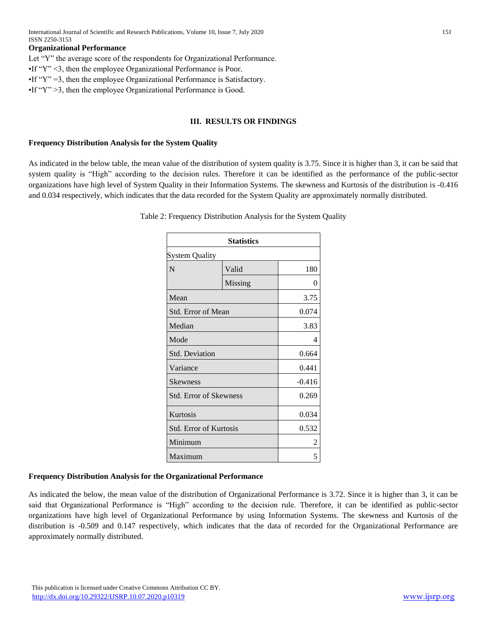#### **Organizational Performance**

Let "Y" the average score of the respondents for Organizational Performance. •If "Y" <3, then the employee Organizational Performance is Poor. •If "Y" =3, then the employee Organizational Performance is Satisfactory. •If "Y" >3, then the employee Organizational Performance is Good.

#### **III. RESULTS OR FINDINGS**

#### **Frequency Distribution Analysis for the System Quality**

As indicated in the below table, the mean value of the distribution of system quality is 3.75. Since it is higher than 3, it can be said that system quality is "High" according to the decision rules. Therefore it can be identified as the performance of the public-sector organizations have high level of System Quality in their Information Systems. The skewness and Kurtosis of the distribution is -0.416 and 0.034 respectively, which indicates that the data recorded for the System Quality are approximately normally distributed.

Table 2: Frequency Distribution Analysis for the System Quality

| <b>Statistics</b>             |         |          |  |  |
|-------------------------------|---------|----------|--|--|
| <b>System Quality</b>         |         |          |  |  |
| N                             | Valid   | 180      |  |  |
|                               | Missing | 0        |  |  |
| Mean                          |         | 3.75     |  |  |
| Std. Error of Mean            |         | 0.074    |  |  |
| Median                        |         | 3.83     |  |  |
| Mode                          | 4       |          |  |  |
| <b>Std. Deviation</b>         | 0.664   |          |  |  |
| Variance                      | 0.441   |          |  |  |
| <b>Skewness</b>               |         | $-0.416$ |  |  |
| <b>Std. Error of Skewness</b> | 0.269   |          |  |  |
| Kurtosis                      | 0.034   |          |  |  |
| <b>Std. Error of Kurtosis</b> |         | 0.532    |  |  |
| Minimum                       | 2       |          |  |  |
| Maximum                       | 5       |          |  |  |

#### **Frequency Distribution Analysis for the Organizational Performance**

As indicated the below, the mean value of the distribution of Organizational Performance is 3.72. Since it is higher than 3, it can be said that Organizational Performance is "High" according to the decision rule. Therefore, it can be identified as public-sector organizations have high level of Organizational Performance by using Information Systems. The skewness and Kurtosis of the distribution is -0.509 and 0.147 respectively, which indicates that the data of recorded for the Organizational Performance are approximately normally distributed.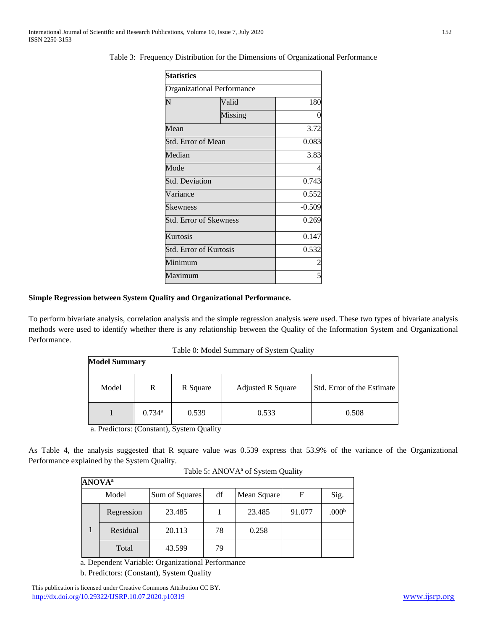| <b>Statistics</b>                 |          |       |  |  |
|-----------------------------------|----------|-------|--|--|
| <b>Organizational Performance</b> |          |       |  |  |
| N                                 | Valid    | 180   |  |  |
|                                   | Missing  | 0     |  |  |
| Mean                              |          | 3.72  |  |  |
| Std. Error of Mean                |          | 0.083 |  |  |
| Median                            | 3.83     |       |  |  |
| Mode                              | 4        |       |  |  |
| <b>Std. Deviation</b>             | 0.743    |       |  |  |
| Variance                          | 0.552    |       |  |  |
| Skewness                          | $-0.509$ |       |  |  |
| <b>Std. Error of Skewness</b>     | 0.269    |       |  |  |
| Kurtosis                          | 0.147    |       |  |  |
| <b>Std. Error of Kurtosis</b>     | 0.532    |       |  |  |
| Minimum                           | 2        |       |  |  |
| Maximum                           |          |       |  |  |

Table 3: Frequency Distribution for the Dimensions of Organizational Performance

#### **Simple Regression between System Quality and Organizational Performance.**

To perform bivariate analysis, correlation analysis and the simple regression analysis were used. These two types of bivariate analysis methods were used to identify whether there is any relationship between the Quality of the Information System and Organizational Performance.

Table 0: Model Summary of System Quality

| <b>Model Summary</b> |                      |          |                          |                            |
|----------------------|----------------------|----------|--------------------------|----------------------------|
| Model                | R                    | R Square | <b>Adjusted R Square</b> | Std. Error of the Estimate |
|                      | $0.734$ <sup>a</sup> | 0.539    | 0.533                    | 0.508                      |

a. Predictors: (Constant), System Quality

As Table 4, the analysis suggested that R square value was 0.539 express that 53.9% of the variance of the Organizational Performance explained by the System Quality.

| <b>ANOVA</b> <sup>a</sup> |            |                |    |             |        |                   |
|---------------------------|------------|----------------|----|-------------|--------|-------------------|
|                           | Model      | Sum of Squares | df | Mean Square | F      | Sig.              |
|                           | Regression | 23.485         |    | 23.485      | 91.077 | .000 <sup>b</sup> |
|                           | Residual   | 20.113         | 78 | 0.258       |        |                   |
|                           | Total      | 43.599         | 79 |             |        |                   |

Table 5: ANOVA<sup>a</sup> of System Quality

a. Dependent Variable: Organizational Performance

b. Predictors: (Constant), System Quality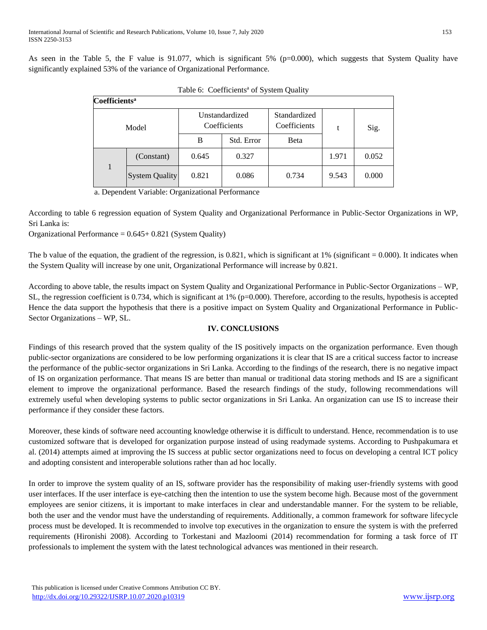As seen in the Table 5, the F value is 91.077, which is significant  $5\%$  (p=0.000), which suggests that System Quality have significantly explained 53% of the variance of Organizational Performance.

| <b>Coefficients<sup>a</sup></b> |                       |                                |            |                              |       |       |
|---------------------------------|-----------------------|--------------------------------|------------|------------------------------|-------|-------|
| Model                           |                       | Unstandardized<br>Coefficients |            | Standardized<br>Coefficients |       | Sig.  |
|                                 |                       | B                              | Std. Error | Beta                         |       |       |
|                                 | (Constant)            | 0.645                          | 0.327      |                              | 1.971 | 0.052 |
| 1                               | <b>System Quality</b> | 0.821                          | 0.086      | 0.734                        | 9.543 | 0.000 |

| Table 6: Coefficients <sup>a</sup> of System Quality |  |
|------------------------------------------------------|--|
|                                                      |  |

a. Dependent Variable: Organizational Performance

According to table 6 regression equation of System Quality and Organizational Performance in Public-Sector Organizations in WP, Sri Lanka is:

Organizational Performance = 0.645+ 0.821 (System Quality)

The b value of the equation, the gradient of the regression, is  $0.821$ , which is significant at 1% (significant = 0.000). It indicates when the System Quality will increase by one unit, Organizational Performance will increase by 0.821.

According to above table, the results impact on System Quality and Organizational Performance in Public-Sector Organizations – WP, SL, the regression coefficient is 0.734, which is significant at 1% (p=0.000). Therefore, according to the results, hypothesis is accepted Hence the data support the hypothesis that there is a positive impact on System Quality and Organizational Performance in Public-Sector Organizations – WP, SL.

## **IV. CONCLUSIONS**

Findings of this research proved that the system quality of the IS positively impacts on the organization performance. Even though public-sector organizations are considered to be low performing organizations it is clear that IS are a critical success factor to increase the performance of the public-sector organizations in Sri Lanka. According to the findings of the research, there is no negative impact of IS on organization performance. That means IS are better than manual or traditional data storing methods and IS are a significant element to improve the organizational performance. Based the research findings of the study, following recommendations will extremely useful when developing systems to public sector organizations in Sri Lanka. An organization can use IS to increase their performance if they consider these factors.

Moreover, these kinds of software need accounting knowledge otherwise it is difficult to understand. Hence, recommendation is to use customized software that is developed for organization purpose instead of using readymade systems. According to Pushpakumara et al. (2014) attempts aimed at improving the IS success at public sector organizations need to focus on developing a central ICT policy and adopting consistent and interoperable solutions rather than ad hoc locally.

In order to improve the system quality of an IS, software provider has the responsibility of making user-friendly systems with good user interfaces. If the user interface is eye-catching then the intention to use the system become high. Because most of the government employees are senior citizens, it is important to make interfaces in clear and understandable manner. For the system to be reliable, both the user and the vendor must have the understanding of requirements. Additionally, a common framework for software lifecycle process must be developed. It is recommended to involve top executives in the organization to ensure the system is with the preferred requirements (Hironishi 2008). According to Torkestani and Mazloomi (2014) recommendation for forming a task force of IT professionals to implement the system with the latest technological advances was mentioned in their research.